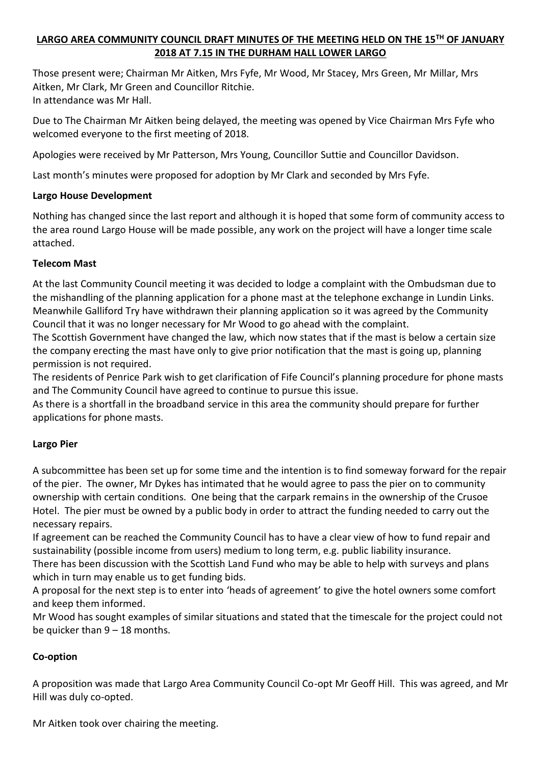# **LARGO AREA COMMUNITY COUNCIL DRAFT MINUTES OF THE MEETING HELD ON THE 15TH OF JANUARY 2018 AT 7.15 IN THE DURHAM HALL LOWER LARGO**

Those present were; Chairman Mr Aitken, Mrs Fyfe, Mr Wood, Mr Stacey, Mrs Green, Mr Millar, Mrs Aitken, Mr Clark, Mr Green and Councillor Ritchie. In attendance was Mr Hall.

Due to The Chairman Mr Aitken being delayed, the meeting was opened by Vice Chairman Mrs Fyfe who welcomed everyone to the first meeting of 2018.

Apologies were received by Mr Patterson, Mrs Young, Councillor Suttie and Councillor Davidson.

Last month's minutes were proposed for adoption by Mr Clark and seconded by Mrs Fyfe.

### **Largo House Development**

Nothing has changed since the last report and although it is hoped that some form of community access to the area round Largo House will be made possible, any work on the project will have a longer time scale attached.

### **Telecom Mast**

At the last Community Council meeting it was decided to lodge a complaint with the Ombudsman due to the mishandling of the planning application for a phone mast at the telephone exchange in Lundin Links. Meanwhile Galliford Try have withdrawn their planning application so it was agreed by the Community Council that it was no longer necessary for Mr Wood to go ahead with the complaint.

The Scottish Government have changed the law, which now states that if the mast is below a certain size the company erecting the mast have only to give prior notification that the mast is going up, planning permission is not required.

The residents of Penrice Park wish to get clarification of Fife Council's planning procedure for phone masts and The Community Council have agreed to continue to pursue this issue.

As there is a shortfall in the broadband service in this area the community should prepare for further applications for phone masts.

### **Largo Pier**

A subcommittee has been set up for some time and the intention is to find someway forward for the repair of the pier. The owner, Mr Dykes has intimated that he would agree to pass the pier on to community ownership with certain conditions. One being that the carpark remains in the ownership of the Crusoe Hotel. The pier must be owned by a public body in order to attract the funding needed to carry out the necessary repairs.

If agreement can be reached the Community Council has to have a clear view of how to fund repair and sustainability (possible income from users) medium to long term, e.g. public liability insurance.

There has been discussion with the Scottish Land Fund who may be able to help with surveys and plans which in turn may enable us to get funding bids.

A proposal for the next step is to enter into 'heads of agreement' to give the hotel owners some comfort and keep them informed.

Mr Wood has sought examples of similar situations and stated that the timescale for the project could not be quicker than  $9 - 18$  months.

### **Co-option**

A proposition was made that Largo Area Community Council Co-opt Mr Geoff Hill. This was agreed, and Mr Hill was duly co-opted.

Mr Aitken took over chairing the meeting.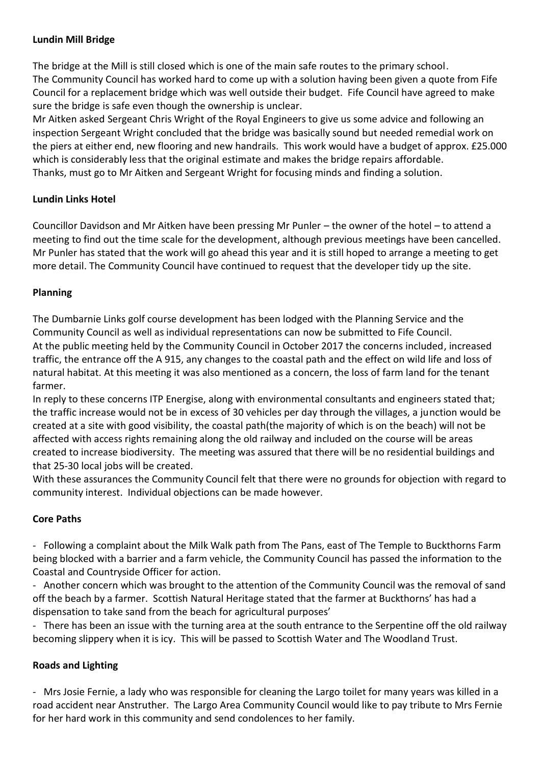## **Lundin Mill Bridge**

The bridge at the Mill is still closed which is one of the main safe routes to the primary school. The Community Council has worked hard to come up with a solution having been given a quote from Fife Council for a replacement bridge which was well outside their budget. Fife Council have agreed to make sure the bridge is safe even though the ownership is unclear.

Mr Aitken asked Sergeant Chris Wright of the Royal Engineers to give us some advice and following an inspection Sergeant Wright concluded that the bridge was basically sound but needed remedial work on the piers at either end, new flooring and new handrails. This work would have a budget of approx. £25.000 which is considerably less that the original estimate and makes the bridge repairs affordable. Thanks, must go to Mr Aitken and Sergeant Wright for focusing minds and finding a solution.

## **Lundin Links Hotel**

Councillor Davidson and Mr Aitken have been pressing Mr Punler – the owner of the hotel – to attend a meeting to find out the time scale for the development, although previous meetings have been cancelled. Mr Punler has stated that the work will go ahead this year and it is still hoped to arrange a meeting to get more detail. The Community Council have continued to request that the developer tidy up the site.

### **Planning**

The Dumbarnie Links golf course development has been lodged with the Planning Service and the Community Council as well as individual representations can now be submitted to Fife Council. At the public meeting held by the Community Council in October 2017 the concerns included, increased traffic, the entrance off the A 915, any changes to the coastal path and the effect on wild life and loss of natural habitat. At this meeting it was also mentioned as a concern, the loss of farm land for the tenant farmer.

In reply to these concerns ITP Energise, along with environmental consultants and engineers stated that; the traffic increase would not be in excess of 30 vehicles per day through the villages, a junction would be created at a site with good visibility, the coastal path(the majority of which is on the beach) will not be affected with access rights remaining along the old railway and included on the course will be areas created to increase biodiversity. The meeting was assured that there will be no residential buildings and that 25-30 local jobs will be created.

With these assurances the Community Council felt that there were no grounds for objection with regard to community interest. Individual objections can be made however.

### **Core Paths**

- Following a complaint about the Milk Walk path from The Pans, east of The Temple to Buckthorns Farm being blocked with a barrier and a farm vehicle, the Community Council has passed the information to the Coastal and Countryside Officer for action.

- Another concern which was brought to the attention of the Community Council was the removal of sand off the beach by a farmer. Scottish Natural Heritage stated that the farmer at Buckthorns' has had a dispensation to take sand from the beach for agricultural purposes'

- There has been an issue with the turning area at the south entrance to the Serpentine off the old railway becoming slippery when it is icy. This will be passed to Scottish Water and The Woodland Trust.

### **Roads and Lighting**

- Mrs Josie Fernie, a lady who was responsible for cleaning the Largo toilet for many years was killed in a road accident near Anstruther. The Largo Area Community Council would like to pay tribute to Mrs Fernie for her hard work in this community and send condolences to her family.